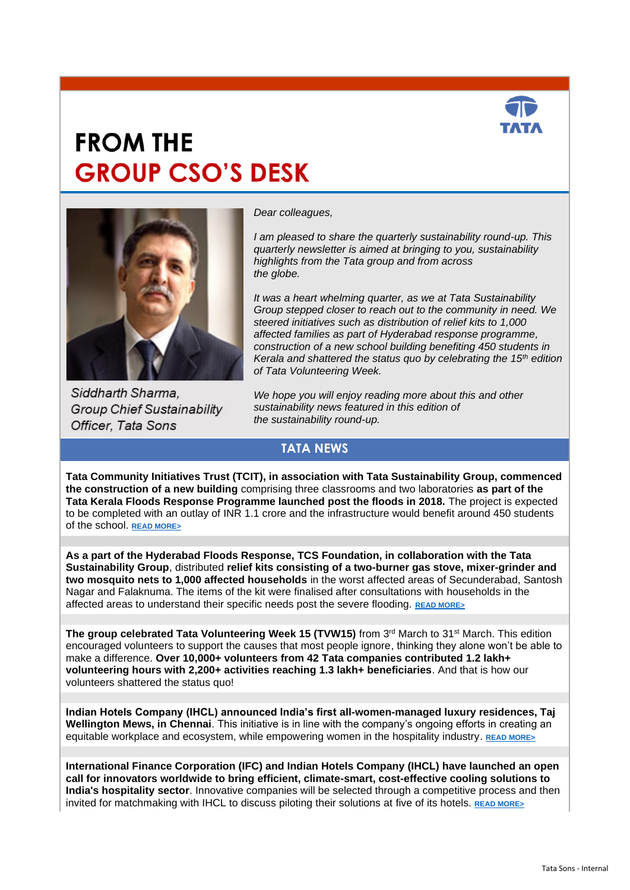

# **FROM THE GROUP CSO'S DESK**



Siddharth Sharma. **Group Chief Sustainability** Officer, Tata Sons

*Dear colleagues,*

*I am pleased to share the quarterly sustainability round-up. This quarterly newsletter is aimed at bringing to you, sustainability highlights from the Tata group and from across the globe.*

*It was a heart whelming quarter, as we at Tata Sustainability Group stepped closer to reach out to the community in need. We steered initiatives such as distribution of relief kits to 1,000 affected families as part of Hyderabad response programme, construction of a new school building benefiting 450 students in Kerala and shattered the status quo by celebrating the 15th edition of Tata Volunteering Week.* 

*We hope you will enjoy reading more about this and other sustainability news featured in this edition of the sustainability round-up.*

#### **TATA NEWS**

**Tata Community Initiatives Trust (TCIT), in association with Tata Sustainability Group, commenced the construction of a new building** comprising three classrooms and two laboratories **as part of the Tata Kerala Floods Response Programme launched post the floods in 2018.** The project is expected to be completed with an outlay of INR 1.1 crore and the infrastructure would benefit around 450 students of the school. **[READ MORE>](https://www.tataworld.com/news/openinside/Foundation-stone-for-a-new-building-laid-in-Government-Higher-Secondary-School-Idukki-as-part-of-the)**

**As a part of the Hyderabad Floods Response, TCS Foundation, in collaboration with the Tata Sustainability Group**, distributed **relief kits consisting of a two-burner gas stove, mixer-grinder and two mosquito nets to 1,000 affected households** in the worst affected areas of Secunderabad, Santosh Nagar and Falaknuma. The items of the kit were finalised after consultations with households in the affected areas to understand their specific needs post the severe flooding. **[READ MORE>](https://www.tataworld.com/news/openinside/Relief-kit-distribution-to-1000-families-as-part-of-the-Hyderabad-disaster-response-programme-by-TCS)**

**The group celebrated Tata Volunteering Week 15 (TVW15)** from 3<sup>rd</sup> March to 31<sup>st</sup> March. This edition encouraged volunteers to support the causes that most people ignore, thinking they alone won't be able to make a difference. **Over 10,000+ volunteers from 42 Tata companies contributed 1.2 lakh+ volunteering hours with 2,200+ activities reaching 1.3 lakh+ beneficiaries**. And that is how our volunteers shattered the status quo!

**Indian Hotels Company (IHCL) announced India's first all-women-managed luxury residences, Taj Wellington Mews, in Chennai**. This initiative is in line with the company's ongoing efforts in creating an equitable workplace and ecosystem, while empowering women in the hospitality industry. **[READ MORE>](https://www.tataworld.com/news/openinside/ihcl-announces-south-asias-first-all-women-managed-luxury-residences)**

**International Finance Corporation (IFC) and Indian Hotels Company (IHCL) have launched an open call for innovators worldwide to bring efficient, climate-smart, cost-effective cooling solutions to India's hospitality sector**. Innovative companies will be selected through a competitive process and then invited for matchmaking with IHCL to discuss piloting their solutions at five of its hotels. **[READ MORE>](https://www.tatasustainability.com/pdfs/Press-Release-Ifc-and-Ihcl-Launch-Global-call-for-innovators.pdf)**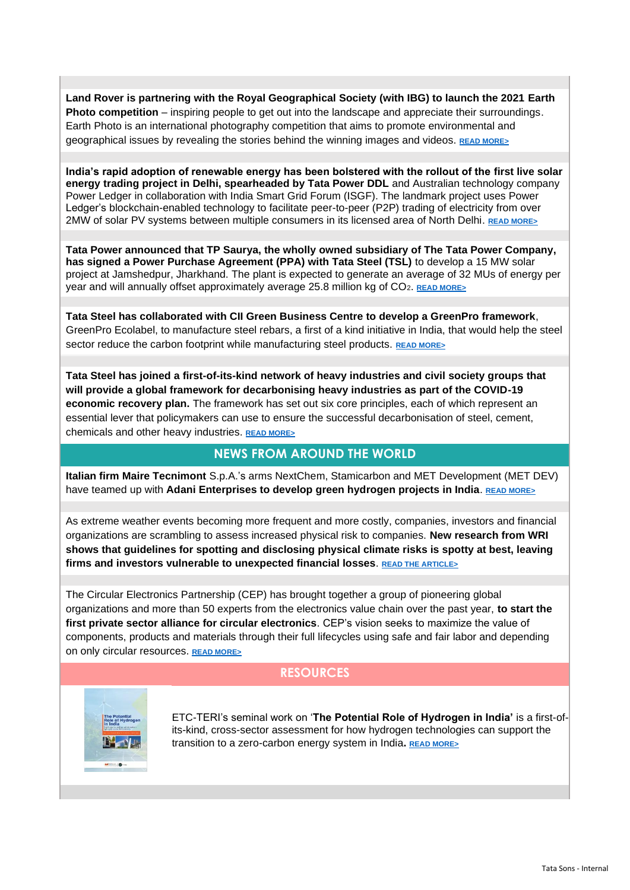**Land Rover is partnering with the Royal Geographical Society (with IBG) to launch the 2021 Earth Photo competition** – inspiring people to get out into the landscape and appreciate their surroundings. Earth Photo is an international photography competition that aims to promote environmental and geographical issues by revealing the stories behind the winning images and videos. **[READ MORE>](https://www.tataworld.com/news/openinside/land-rover-royal-geographical-society-earth-photo-challenge)**

**India's rapid adoption of renewable energy has been bolstered with the rollout of the first live solar energy trading project in Delhi, spearheaded by Tata Power DDL** and Australian technology company Power Ledger in collaboration with India Smart Grid Forum (ISGF). The landmark project uses Power Ledger's blockchain-enabled technology to facilitate peer-to-peer (P2P) trading of electricity from over 2MW of solar PV systems between multiple consumers in its licensed area of North Delhi. **[READ MORE>](https://www.tataworld.com/news/openinside/tata-power-ddl-rolls-out-live-peer-to-peer-solar-energy-trading)**

**Tata Power announced that TP Saurya, the wholly owned subsidiary of The Tata Power Company, has signed a Power Purchase Agreement (PPA) with Tata Steel (TSL)** to develop a 15 MW solar project at Jamshedpur, Jharkhand. The plant is expected to generate an average of 32 MUs of energy per year and will annually offset approximately average 25.8 million kg of CO2. **[READ MORE>](https://www.tataworld.com/news/openinside/tata-power-to-provide-green-power-in-jharkhand-to-tata-steel)**

**Tata Steel has collaborated with CII Green Business Centre to develop a GreenPro framework**, GreenPro Ecolabel, to manufacture steel rebars, a first of a kind initiative in India, that would help the steel sector reduce the carbon footprint while manufacturing steel products. **[READ MORE>](https://www.tataworld.com/news/openinside/tata-steel-cii-greenpro-framework-for-steel-rebars)**

**Tata Steel has joined a first-of-its-kind network of heavy industries and civil society groups that will provide a global framework for decarbonising heavy industries as part of the COVID-19 economic recovery plan.** The framework has set out six core principles, each of which represent an essential lever that policymakers can use to ensure the successful decarbonisation of steel, cement, chemicals and other heavy industries. **[READ MORE>](https://www.tataworld.com/news/openinside/tata-steel-backs-decarbonising-heavy-industries-framework)**

#### **NEWS FROM AROUND THE WORLD**

**Italian firm Maire Tecnimont** S.p.A.'s arms NextChem, Stamicarbon and MET Development (MET DEV) have teamed up with Adani Enterprises to develop green hydrogen projects in India. **[READ MORE>](https://www.mairetecnimont.com/en/media/press-releases/maire-tecnimont-group-and-adani-enterprises-ltd-team-develop-green-hydrogen-projects-india)** 

As extreme weather events becoming more frequent and more costly, companies, investors and financial organizations are scrambling to assess increased physical risk to companies. **New research from WRI shows that guidelines for spotting and disclosing physical climate risks is spotty at best, leaving firms and investors vulnerable to unexpected financial losses**. **[READ THE ARTICLE>](https://www.wri.org/blog/2021/02/patchy-guidance-companies-may-have-climate-risk-blind-spots?utm_campaign=wridigest&utm_source=wridigest-2021-2-23&utm_medium=email&utm_content=title)**

The Circular Electronics Partnership (CEP) has brought together a group of pioneering global organizations and more than 50 experts from the electronics value chain over the past year, **to start the first private sector alliance for circular electronics**. CEP's vision seeks to maximize the value of components, products and materials through their full lifecycles using safe and fair labor and depending on only circular resources. **[READ MORE>](https://www.wbcsd.org/Programs/Circular-Economy/News/Circular-Electronics-Partnership-CEP-The-first-private-sector-alliance-for-circular-electronics)**

#### **RESOURCES**



ETC-TERI's seminal work on '**The Potential Role of Hydrogen in India'** is a first-ofits-kind, cross-sector assessment for how hydrogen technologies can support the transition to a zero-carbon energy system in India**. [READ MORE>](https://www.tatasustainability.com/pdfs/Resources/Report_on_The_Potential_Role_of_Hydrogen_in_India_Harnessing_the_Hype.pdf)**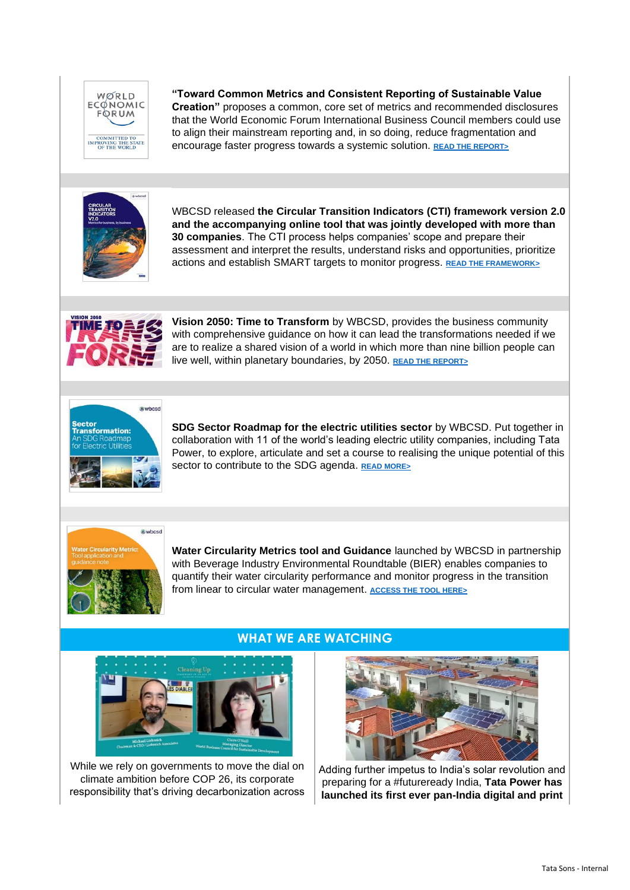

**"Toward Common Metrics and Consistent Reporting of Sustainable Value Creation"** proposes a common, core set of metrics and recommended disclosures that the World Economic Forum International Business Council members could use to align their mainstream reporting and, in so doing, reduce fragmentation and encourage faster progress towards a systemic solution. **[READ THE REPORT>](https://www.tatasustainability.com/pdfs/Resources/Toward_Common_Metrics_and_Consistent_Reporting_of_Sustainable_Value_Creation.pdf)**



WBCSD released **the Circular Transition Indicators (CTI) framework version 2.0 and the accompanying online tool that was jointly developed with more than 30 companies**. The CTI process helps companies' scope and prepare their assessment and interpret the results, understand risks and opportunities, prioritize actions and establish SMART targets to monitor progress. **[READ THE FRAMEWORK>](https://www.tatasustainability.com/pdfs/Resources/WBCSD_and_more_than_30_companies_launched_the_Circular_Transition_Indicators_framework_version_2.0.pdf)**



**Vision 2050: Time to Transform** by WBCSD, provides the business community with comprehensive guidance on how it can lead the transformations needed if we are to realize a shared vision of a world in which more than nine billion people can live well, within planetary boundaries, by 2050. **[READ THE REPORT>](https://www.wbcsd.org/contentwbc/download/11765/177145/1)**



**SDG Sector Roadmap for the electric utilities sector** by WBCSD. Put together in collaboration with 11 of the world's leading electric utility companies, including Tata Power, to explore, articulate and set a course to realising the unique potential of this sector to contribute to the SDG agenda. **[READ MORE>](https://www.tatasustainability.com/pdfs/NewsArticle/Sector_Transformation_An_SDG_Roadmap_for_Electric_Utilities.pdf)**



**Water Circularity Metrics tool and Guidance** launched by WBCSD in partnership with Beverage Industry Environmental Roundtable (BIER) enables companies to quantify their water circularity performance and monitor progress in the transition from linear to circular water management. **[ACCESS THE TOOL HERE>](https://www.wbcsd.org/Programs/Food-and-Nature/Water/Resources/Water-Circularity-Metric-Tool-and-guidance-note)** 



While we rely on governments to move the dial on climate ambition before COP 26, its corporate responsibility that's driving decarbonization across

### **WHAT WE ARE WATCHING**



Adding further impetus to India's solar revolution and preparing for a #futureready India, **Tata Power has launched its first ever pan-India digital and print**